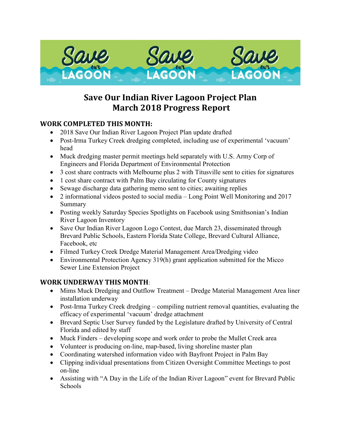

# **Save Our Indian River Lagoon Project Plan March 2018 Progress Report**

### **WORK COMPLETED THIS MONTH:**

- 2018 Save Our Indian River Lagoon Project Plan update drafted
- Post-Irma Turkey Creek dredging completed, including use of experimental 'vacuum' head
- Muck dredging master permit meetings held separately with U.S. Army Corp of Engineers and Florida Department of Environmental Protection
- 3 cost share contracts with Melbourne plus 2 with Titusville sent to cities for signatures
- 1 cost share contract with Palm Bay circulating for County signatures
- Sewage discharge data gathering memo sent to cities; awaiting replies
- 2 informational videos posted to social media Long Point Well Monitoring and 2017 Summary
- Posting weekly Saturday Species Spotlights on Facebook using Smithsonian's Indian River Lagoon Inventory
- Save Our Indian River Lagoon Logo Contest, due March 23, disseminated through Brevard Public Schools, Eastern Florida State College, Brevard Cultural Alliance, Facebook, etc
- Filmed Turkey Creek Dredge Material Management Area/Dredging video
- Environmental Protection Agency 319(h) grant application submitted for the Micco Sewer Line Extension Project

## **WORK UNDERWAY THIS MONTH**:

- Mims Muck Dredging and Outflow Treatment Dredge Material Management Area liner installation underway
- Post-Irma Turkey Creek dredging compiling nutrient removal quantities, evaluating the efficacy of experimental 'vacuum' dredge attachment
- Brevard Septic User Survey funded by the Legislature drafted by University of Central Florida and edited by staff
- Muck Finders developing scope and work order to probe the Mullet Creek area
- Volunteer is producing on-line, map-based, living shoreline master plan
- Coordinating watershed information video with Bayfront Project in Palm Bay
- Clipping individual presentations from Citizen Oversight Committee Meetings to post on-line
- Assisting with "A Day in the Life of the Indian River Lagoon" event for Brevard Public Schools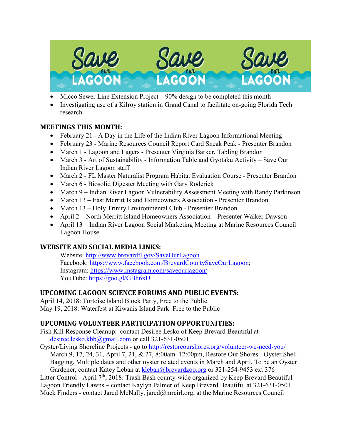

- Micco Sewer Line Extension Project  $-90\%$  design to be completed this month
- Investigating use of a Kilroy station in Grand Canal to facilitate on-going Florida Tech research

#### **MEETINGS THIS MONTH:**

- February 21 A Day in the Life of the Indian River Lagoon Informational Meeting
- February 23 Marine Resources Council Report Card Sneak Peak Presenter Brandon
- March 1 Lagoon and Lagers Presenter Virginia Barker, Tabling Brandon
- March 3 Art of Sustainability Information Table and Gyotaku Activity Save Our Indian River Lagoon staff
- March 2 FL Master Naturalist Program Habitat Evaluation Course Presenter Brandon
- March 6 Biosolid Digester Meeting with Gary Roderick
- March 9 Indian River Lagoon Vulnerability Assessment Meeting with Randy Parkinson
- March 13 East Merritt Island Homeowners Association Presenter Brandon
- March 13 Holy Trinity Environmental Club Presenter Brandon
- April 2 North Merritt Island Homeowners Association Presenter Walker Dawson
- April 13 Indian River Lagoon Social Marketing Meeting at Marine Resources Council Lagoon House

#### **WEBSITE AND SOCIAL MEDIA LINKS:**

Website:<http://www.brevardfl.gov/SaveOurLagoon> Facebook: [https://www.facebook.com/BrevardCountySaveOurLagoon;](https://www.facebook.com/BrevardCountySaveOurLagoon) Instagram:<https://www.instagram.com/saveourlagoon/> YouTube:<https://goo.gl/GBh6xU>

#### **UPCOMING LAGOON SCIENCE FORUMS AND PUBLIC EVENTS:**

April 14, 2018: Tortoise Island Block Party, Free to the Public May 19, 2018: Waterfest at Kiwanis Island Park. Free to the Public

#### **UPCOMING VOLUNTEER PARTICIPATION OPPORTUNITIES:**

Fish Kill Response Cleanup: contact Desiree Lesko of Keep Brevard Beautiful at [desiree.lesko.kbb@gmail.com](mailto:desiree.lesko.kbb@gmail.com) or call 321-631-0501

Oyster/Living Shoreline Projects - go to<http://restoreourshores.org/volunteer-we-need-you/> March 9, 17, 24, 31, April 7, 21, & 27, 8:00am–12:00pm, Restore Our Shores - Oyster Shell Bagging. Multiple dates and other oyster related events in March and April. To be an Oyster Gardener, contact Katey Leban at [kleban@brevardzoo.org](mailto:kleban@brevardzoo.org) or 321-254-9453 ext 376

Litter Control - April  $7<sup>th</sup>$ , 2018: Trash Bash county-wide organized by Keep Brevard Beautiful Lagoon Friendly Lawns – contact Kaylyn Palmer of Keep Brevard Beautiful at 321-631-0501 Muck Finders - contact Jared McNally, jared@mrcirl.org, at the Marine Resources Council